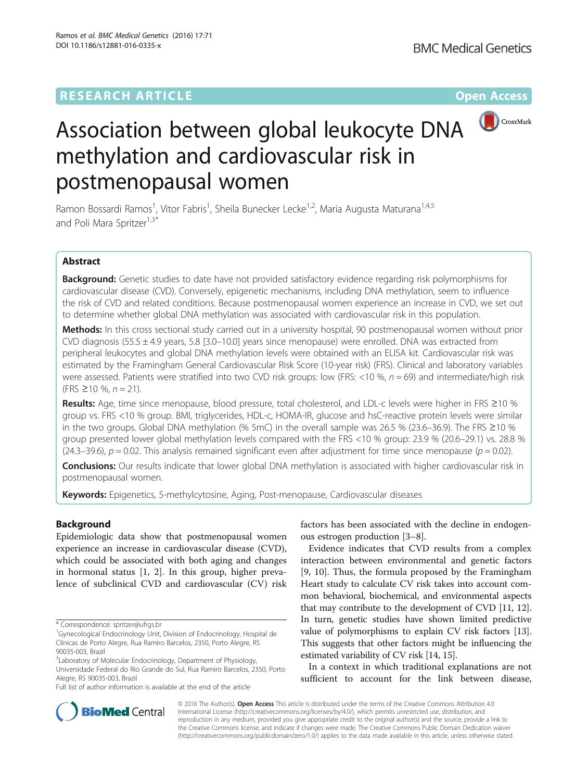# **RESEARCH ARTICLE Example 2014 12:30 The Contract of Contract ACCESS**



# Association between global leukocyte DNA methylation and cardiovascular risk in postmenopausal women

Ramon Bossardi Ramos<sup>1</sup>, Vitor Fabris<sup>1</sup>, Sheila Bunecker Lecke<sup>1,2</sup>, Maria Augusta Maturana<sup>1,4,5</sup> and Poli Mara Spritzer<sup>1,3\*</sup>

# Abstract

Background: Genetic studies to date have not provided satisfactory evidence regarding risk polymorphisms for cardiovascular disease (CVD). Conversely, epigenetic mechanisms, including DNA methylation, seem to influence the risk of CVD and related conditions. Because postmenopausal women experience an increase in CVD, we set out to determine whether global DNA methylation was associated with cardiovascular risk in this population.

Methods: In this cross sectional study carried out in a university hospital, 90 postmenopausal women without prior CVD diagnosis (55.5  $\pm$  4.9 years, 5.8 [3.0–10.0] years since menopause) were enrolled. DNA was extracted from peripheral leukocytes and global DNA methylation levels were obtained with an ELISA kit. Cardiovascular risk was estimated by the Framingham General Cardiovascular Risk Score (10-year risk) (FRS). Clinical and laboratory variables were assessed. Patients were stratified into two CVD risk groups: low (FRS: <10 %,  $n = 69$ ) and intermediate/high risk  $(FRS ≥ 10 %, n = 21).$ 

Results: Age, time since menopause, blood pressure, total cholesterol, and LDL-c levels were higher in FRS ≥10 % group vs. FRS <10 % group. BMI, triglycerides, HDL-c, HOMA-IR, glucose and hsC-reactive protein levels were similar in the two groups. Global DNA methylation (% 5mC) in the overall sample was 26.5 % (23.6–36.9). The FRS ≥10 % group presented lower global methylation levels compared with the FRS <10 % group: 23.9 % (20.6–29.1) vs. 28.8 % (24.3–39.6),  $p = 0.02$ . This analysis remained significant even after adjustment for time since menopause ( $p = 0.02$ ).

**Conclusions:** Our results indicate that lower global DNA methylation is associated with higher cardiovascular risk in postmenopausal women.

Keywords: Epigenetics, 5-methylcytosine, Aging, Post-menopause, Cardiovascular diseases

# Background

Epidemiologic data show that postmenopausal women experience an increase in cardiovascular disease (CVD), which could be associated with both aging and changes in hormonal status [1, 2]. In this group, higher prevalence of subclinical CVD and cardiovascular (CV) risk

<sup>3</sup> Laboratory of Molecular Endocrinology, Department of Physiology, Universidade Federal do Rio Grande do Sul, Rua Ramiro Barcelos, 2350, Porto Alegre, RS 90035-003, Brazil

Full list of author information is available at the end of the article

factors has been associated with the decline in endogenous estrogen production [3–8].

Evidence indicates that CVD results from a complex interaction between environmental and genetic factors [9, 10]. Thus, the formula proposed by the Framingham Heart study to calculate CV risk takes into account common behavioral, biochemical, and environmental aspects that may contribute to the development of CVD [11, 12]. In turn, genetic studies have shown limited predictive value of polymorphisms to explain CV risk factors [13]. This suggests that other factors might be influencing the estimated variability of CV risk [14, 15].

In a context in which traditional explanations are not sufficient to account for the link between disease,



© 2016 The Author(s). Open Access This article is distributed under the terms of the Creative Commons Attribution 4.0 International License (http://creativecommons.org/licenses/by/4.0/), which permits unrestricted use, distribution, and reproduction in any medium, provided you give appropriate credit to the original author(s) and the source, provide a link to the Creative Commons license, and indicate if changes were made. The Creative Commons Public Domain Dedication waiver (http://creativecommons.org/publicdomain/zero/1.0/) applies to the data made available in this article, unless otherwise stated.

<sup>\*</sup> Correspondence: spritzer@ufrgs.br <sup>1</sup>

<sup>&</sup>lt;sup>1</sup>Gynecological Endocrinology Unit, Division of Endocrinology, Hospital de Clínicas de Porto Alegre, Rua Ramiro Barcelos, 2350, Porto Alegre, RS 90035-003, Brazil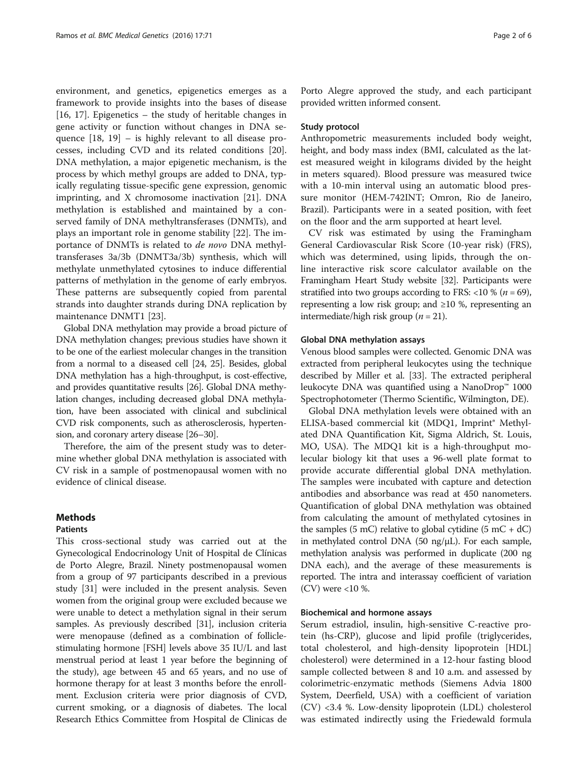environment, and genetics, epigenetics emerges as a framework to provide insights into the bases of disease [16, 17]. Epigenetics – the study of heritable changes in gene activity or function without changes in DNA sequence [18, 19] – is highly relevant to all disease processes, including CVD and its related conditions [20]. DNA methylation, a major epigenetic mechanism, is the process by which methyl groups are added to DNA, typically regulating tissue-specific gene expression, genomic imprinting, and X chromosome inactivation [21]. DNA methylation is established and maintained by a conserved family of DNA methyltransferases (DNMTs), and plays an important role in genome stability [22]. The importance of DNMTs is related to de novo DNA methyltransferases 3a/3b (DNMT3a/3b) synthesis, which will methylate unmethylated cytosines to induce differential patterns of methylation in the genome of early embryos. These patterns are subsequently copied from parental strands into daughter strands during DNA replication by maintenance DNMT1 [23].

Global DNA methylation may provide a broad picture of DNA methylation changes; previous studies have shown it to be one of the earliest molecular changes in the transition from a normal to a diseased cell [24, 25]. Besides, global DNA methylation has a high-throughput, is cost-effective, and provides quantitative results [26]. Global DNA methylation changes, including decreased global DNA methylation, have been associated with clinical and subclinical CVD risk components, such as atherosclerosis, hypertension, and coronary artery disease [26–30].

Therefore, the aim of the present study was to determine whether global DNA methylation is associated with CV risk in a sample of postmenopausal women with no evidence of clinical disease.

# Methods

# Patients

This cross-sectional study was carried out at the Gynecological Endocrinology Unit of Hospital de Clínicas de Porto Alegre, Brazil. Ninety postmenopausal women from a group of 97 participants described in a previous study [31] were included in the present analysis. Seven women from the original group were excluded because we were unable to detect a methylation signal in their serum samples. As previously described [31], inclusion criteria were menopause (defined as a combination of folliclestimulating hormone [FSH] levels above 35 IU/L and last menstrual period at least 1 year before the beginning of the study), age between 45 and 65 years, and no use of hormone therapy for at least 3 months before the enrollment. Exclusion criteria were prior diagnosis of CVD, current smoking, or a diagnosis of diabetes. The local Research Ethics Committee from Hospital de Clinicas de Porto Alegre approved the study, and each participant provided written informed consent.

# Study protocol

Anthropometric measurements included body weight, height, and body mass index (BMI, calculated as the latest measured weight in kilograms divided by the height in meters squared). Blood pressure was measured twice with a 10-min interval using an automatic blood pressure monitor (HEM-742INT; Omron, Rio de Janeiro, Brazil). Participants were in a seated position, with feet on the floor and the arm supported at heart level.

CV risk was estimated by using the Framingham General Cardiovascular Risk Score (10-year risk) (FRS), which was determined, using lipids, through the online interactive risk score calculator available on the Framingham Heart Study website [32]. Participants were stratified into two groups according to FRS: <10 % ( $n = 69$ ), representing a low risk group; and  $\geq 10$  %, representing an intermediate/high risk group ( $n = 21$ ).

# Global DNA methylation assays

Venous blood samples were collected. Genomic DNA was extracted from peripheral leukocytes using the technique described by Miller et al. [33]. The extracted peripheral leukocyte DNA was quantified using a NanoDrop™ 1000 Spectrophotometer (Thermo Scientific, Wilmington, DE).

Global DNA methylation levels were obtained with an ELISA-based commercial kit (MDQ1, Imprint® Methylated DNA Quantification Kit, Sigma Aldrich, St. Louis, MO, USA). The MDQ1 kit is a high-throughput molecular biology kit that uses a 96-well plate format to provide accurate differential global DNA methylation. The samples were incubated with capture and detection antibodies and absorbance was read at 450 nanometers. Quantification of global DNA methylation was obtained from calculating the amount of methylated cytosines in the samples (5 mC) relative to global cytidine (5 mC + dC) in methylated control DNA (50 ng/μL). For each sample, methylation analysis was performed in duplicate (200 ng DNA each), and the average of these measurements is reported. The intra and interassay coefficient of variation  $(CV)$  were <10 %.

# Biochemical and hormone assays

Serum estradiol, insulin, high-sensitive C-reactive protein (hs-CRP), glucose and lipid profile (triglycerides, total cholesterol, and high-density lipoprotein [HDL] cholesterol) were determined in a 12-hour fasting blood sample collected between 8 and 10 a.m. and assessed by colorimetric-enzymatic methods (Siemens Advia 1800 System, Deerfield, USA) with a coefficient of variation (CV) <3.4 %. Low-density lipoprotein (LDL) cholesterol was estimated indirectly using the Friedewald formula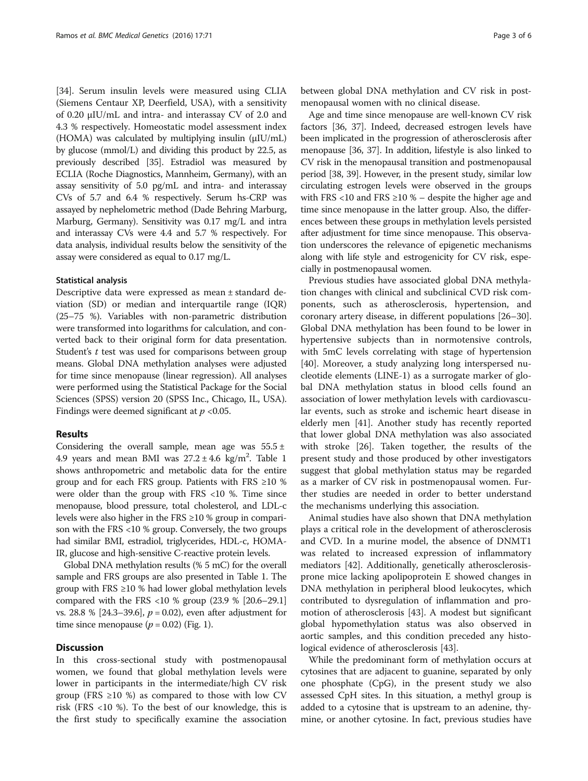[34]. Serum insulin levels were measured using CLIA (Siemens Centaur XP, Deerfield, USA), with a sensitivity of 0.20 μIU/mL and intra- and interassay CV of 2.0 and 4.3 % respectively. Homeostatic model assessment index (HOMA) was calculated by multiplying insulin (μIU/mL) by glucose (mmol/L) and dividing this product by 22.5, as previously described [35]. Estradiol was measured by ECLIA (Roche Diagnostics, Mannheim, Germany), with an assay sensitivity of 5.0 pg/mL and intra- and interassay CVs of 5.7 and 6.4 % respectively. Serum hs-CRP was assayed by nephelometric method (Dade Behring Marburg, Marburg, Germany). Sensitivity was 0.17 mg/L and intra and interassay CVs were 4.4 and 5.7 % respectively. For data analysis, individual results below the sensitivity of the assay were considered as equal to 0.17 mg/L.

# Statistical analysis

Descriptive data were expressed as mean ± standard deviation (SD) or median and interquartile range (IQR) (25–75 %). Variables with non-parametric distribution were transformed into logarithms for calculation, and converted back to their original form for data presentation. Student's *t* test was used for comparisons between group means. Global DNA methylation analyses were adjusted for time since menopause (linear regression). All analyses were performed using the Statistical Package for the Social Sciences (SPSS) version 20 (SPSS Inc., Chicago, IL, USA). Findings were deemed significant at  $p < 0.05$ .

### Results

Considering the overall sample, mean age was  $55.5 \pm$ 4.9 years and mean BMI was  $27.2 \pm 4.6$  kg/m<sup>2</sup>. Table 1 shows anthropometric and metabolic data for the entire group and for each FRS group. Patients with FRS  $\geq 10$  % were older than the group with FRS <10 %. Time since menopause, blood pressure, total cholesterol, and LDL-c levels were also higher in the FRS ≥10 % group in comparison with the FRS <10 % group. Conversely, the two groups had similar BMI, estradiol, triglycerides, HDL-c, HOMA-IR, glucose and high-sensitive C-reactive protein levels.

Global DNA methylation results (% 5 mC) for the overall sample and FRS groups are also presented in Table 1. The group with FRS ≥10 % had lower global methylation levels compared with the FRS <10 % group (23.9 % [20.6–29.1] vs. 28.8 % [24.3–39.6],  $p = 0.02$ ), even after adjustment for time since menopause  $(p = 0.02)$  (Fig. 1).

# **Discussion**

In this cross-sectional study with postmenopausal women, we found that global methylation levels were lower in participants in the intermediate/high CV risk group (FRS ≥10 %) as compared to those with low CV risk (FRS <10 %). To the best of our knowledge, this is the first study to specifically examine the association between global DNA methylation and CV risk in postmenopausal women with no clinical disease.

Age and time since menopause are well-known CV risk factors [36, 37]. Indeed, decreased estrogen levels have been implicated in the progression of atherosclerosis after menopause [36, 37]. In addition, lifestyle is also linked to CV risk in the menopausal transition and postmenopausal period [38, 39]. However, in the present study, similar low circulating estrogen levels were observed in the groups with FRS <10 and FRS  $\geq$ 10 % – despite the higher age and time since menopause in the latter group. Also, the differences between these groups in methylation levels persisted after adjustment for time since menopause. This observation underscores the relevance of epigenetic mechanisms along with life style and estrogenicity for CV risk, especially in postmenopausal women.

Previous studies have associated global DNA methylation changes with clinical and subclinical CVD risk components, such as atherosclerosis, hypertension, and coronary artery disease, in different populations [26–30]. Global DNA methylation has been found to be lower in hypertensive subjects than in normotensive controls, with 5mC levels correlating with stage of hypertension [40]. Moreover, a study analyzing long interspersed nucleotide elements (LINE-1) as a surrogate marker of global DNA methylation status in blood cells found an association of lower methylation levels with cardiovascular events, such as stroke and ischemic heart disease in elderly men [41]. Another study has recently reported that lower global DNA methylation was also associated with stroke [26]. Taken together, the results of the present study and those produced by other investigators suggest that global methylation status may be regarded as a marker of CV risk in postmenopausal women. Further studies are needed in order to better understand the mechanisms underlying this association.

Animal studies have also shown that DNA methylation plays a critical role in the development of atherosclerosis and CVD. In a murine model, the absence of DNMT1 was related to increased expression of inflammatory mediators [42]. Additionally, genetically atherosclerosisprone mice lacking apolipoprotein E showed changes in DNA methylation in peripheral blood leukocytes, which contributed to dysregulation of inflammation and promotion of atherosclerosis [43]. A modest but significant global hypomethylation status was also observed in aortic samples, and this condition preceded any histological evidence of atherosclerosis [43].

While the predominant form of methylation occurs at cytosines that are adjacent to guanine, separated by only one phosphate (CpG), in the present study we also assessed CpH sites. In this situation, a methyl group is added to a cytosine that is upstream to an adenine, thymine, or another cytosine. In fact, previous studies have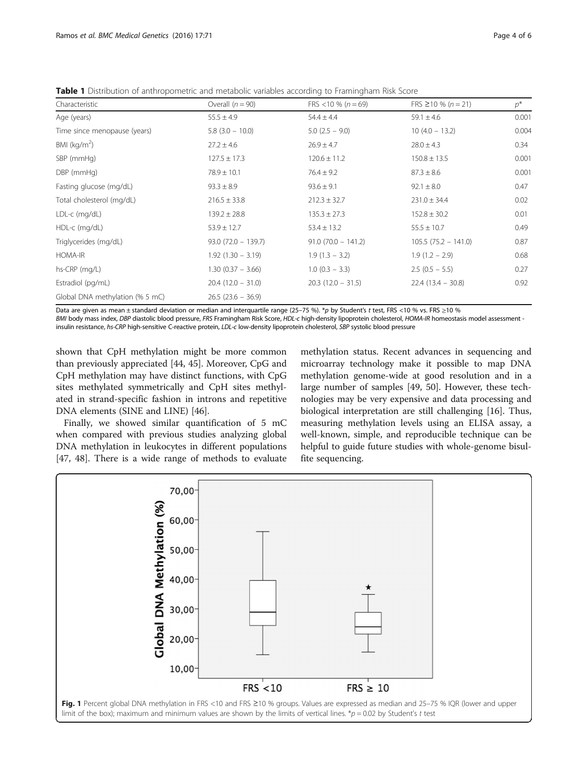Table 1 Distribution of anthropometric and metabolic variables according to Framingham Risk Score

| Characteristic                  | Overall $(n = 90)$    | FRS <10 % ( $n = 69$ ) | FRS $\geq$ 10 % (n = 21) | $p^*$ |
|---------------------------------|-----------------------|------------------------|--------------------------|-------|
| Age (years)                     | $55.5 \pm 4.9$        | $54.4 \pm 4.4$         | $59.1 \pm 4.6$           | 0.001 |
| Time since menopause (years)    | $5.8$ (3.0 - 10.0)    | $5.0$ (2.5 - 9.0)      | $10(4.0 - 13.2)$         | 0.004 |
| BMI ( $kg/m2$ )                 | $27.2 \pm 4.6$        | $26.9 \pm 4.7$         | $28.0 \pm 4.3$           | 0.34  |
| SBP (mmHg)                      | $127.5 \pm 17.3$      | $120.6 \pm 11.2$       | $150.8 \pm 13.5$         | 0.001 |
| DBP (mmHg)                      | $78.9 \pm 10.1$       | $76.4 \pm 9.2$         | $87.3 \pm 8.6$           | 0.001 |
| Fasting glucose (mg/dL)         | $93.3 \pm 8.9$        | $93.6 \pm 9.1$         | $92.1 \pm 8.0$           | 0.47  |
| Total cholesterol (mg/dL)       | $216.5 \pm 33.8$      | $212.3 \pm 32.7$       | $231.0 \pm 34.4$         | 0.02  |
| LDL-c (mg/dL)                   | $139.2 \pm 28.8$      | $135.3 \pm 27.3$       | $152.8 \pm 30.2$         | 0.01  |
| HDL-c (mg/dL)                   | $53.9 \pm 12.7$       | $53.4 \pm 13.2$        | $55.5 \pm 10.7$          | 0.49  |
| Triglycerides (mg/dL)           | $93.0 (72.0 - 139.7)$ | $91.0(70.0 - 141.2)$   | $105.5(75.2 - 141.0)$    | 0.87  |
| HOMA-IR                         | $1.92(1.30 - 3.19)$   | $1.9(1.3 - 3.2)$       | $1.9(1.2 - 2.9)$         | 0.68  |
| hs-CRP (mg/L)                   | $1.30(0.37 - 3.66)$   | $1.0$ (0.3 – 3.3)      | $2.5(0.5 - 5.5)$         | 0.27  |
| Estradiol (pg/mL)               | $20.4(12.0 - 31.0)$   | $20.3(12.0 - 31.5)$    | $22.4(13.4 - 30.8)$      | 0.92  |
| Global DNA methylation (% 5 mC) | $26.5(23.6 - 36.9)$   |                        |                          |       |

Data are given as mean  $\pm$  standard deviation or median and interquartile range (25–75 %). \*p by Student's t test, FRS <10 % vs. FRS ≥10 %

BMI body mass index, DBP diastolic blood pressure, FRS Framingham Risk Score, HDL-c high-density lipoprotein cholesterol, HOMA-IR homeostasis model assessment -

insulin resistance, hs-CRP high-sensitive C-reactive protein, LDL-c low-density lipoprotein cholesterol, SBP systolic blood pressure

shown that CpH methylation might be more common than previously appreciated [44, 45]. Moreover, CpG and CpH methylation may have distinct functions, with CpG sites methylated symmetrically and CpH sites methylated in strand-specific fashion in introns and repetitive DNA elements (SINE and LINE) [46].

Finally, we showed similar quantification of 5 mC when compared with previous studies analyzing global DNA methylation in leukocytes in different populations [47, 48]. There is a wide range of methods to evaluate methylation status. Recent advances in sequencing and microarray technology make it possible to map DNA methylation genome-wide at good resolution and in a large number of samples [49, 50]. However, these technologies may be very expensive and data processing and biological interpretation are still challenging [16]. Thus, measuring methylation levels using an ELISA assay, a well-known, simple, and reproducible technique can be helpful to guide future studies with whole-genome bisulfite sequencing.

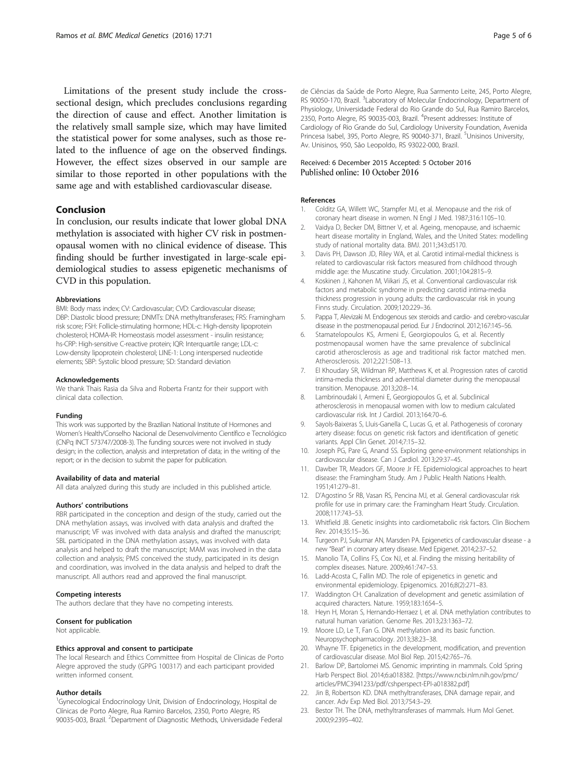Limitations of the present study include the crosssectional design, which precludes conclusions regarding the direction of cause and effect. Another limitation is the relatively small sample size, which may have limited the statistical power for some analyses, such as those related to the influence of age on the observed findings. However, the effect sizes observed in our sample are similar to those reported in other populations with the same age and with established cardiovascular disease.

# Conclusion

In conclusion, our results indicate that lower global DNA methylation is associated with higher CV risk in postmenopausal women with no clinical evidence of disease. This finding should be further investigated in large-scale epidemiological studies to assess epigenetic mechanisms of CVD in this population.

#### Abbreviations

BMI: Body mass index; CV: Cardiovascular; CVD: Cardiovascular disease; DBP: Diastolic blood pressure; DNMTs: DNA methyltransferases; FRS: Framingham risk score; FSH: Follicle-stimulating hormone; HDL-c: High-density lipoprotein cholesterol; HOMA-IR: Homeostasis model assessment - insulin resistance; hs-CRP: High-sensitive C-reactive protein; IQR: Interquartile range; LDL-c: Low-density lipoprotein cholesterol; LINE-1: Long interspersed nucleotide elements; SBP: Systolic blood pressure; SD: Standard deviation

#### Acknowledgements

We thank Thais Rasia da Silva and Roberta Frantz for their support with clinical data collection.

#### Funding

This work was supported by the Brazilian National Institute of Hormones and Women's Health/Conselho Nacional de Desenvolvimento Científico e Tecnológico (CNPq INCT 573747/2008-3). The funding sources were not involved in study design; in the collection, analysis and interpretation of data; in the writing of the report; or in the decision to submit the paper for publication.

#### Availability of data and material

All data analyzed during this study are included in this published article.

# Authors' contributions

RBR participated in the conception and design of the study, carried out the DNA methylation assays, was involved with data analysis and drafted the manuscript; VF was involved with data analysis and drafted the manuscript; SBL participated in the DNA methylation assays, was involved with data analysis and helped to draft the manuscript; MAM was involved in the data collection and analysis; PMS conceived the study, participated in its design and coordination, was involved in the data analysis and helped to draft the manuscript. All authors read and approved the final manuscript.

#### Competing interests

The authors declare that they have no competing interests.

#### Consent for publication

Not applicable.

#### Ethics approval and consent to participate

The local Research and Ethics Committee from Hospital de Clinicas de Porto Alegre approved the study (GPPG 100317) and each participant provided written informed consent.

#### Author details

<sup>1</sup>Gynecological Endocrinology Unit, Division of Endocrinology, Hospital de Clínicas de Porto Alegre, Rua Ramiro Barcelos, 2350, Porto Alegre, RS 90035-003, Brazil. <sup>2</sup>Department of Diagnostic Methods, Universidade Federal de Ciências da Saúde de Porto Alegre, Rua Sarmento Leite, 245, Porto Alegre, RS 90050-170, Brazil. <sup>3</sup>Laboratory of Molecular Endocrinology, Department of Physiology, Universidade Federal do Rio Grande do Sul, Rua Ramiro Barcelos, 2350, Porto Alegre, RS 90035-003, Brazil. <sup>4</sup>Present addresses: Institute of Cardiology of Rio Grande do Sul, Cardiology University Foundation, Avenida Princesa Isabel, 395, Porto Alegre, RS 90040-371, Brazil. <sup>5</sup>Unisinos University, Av. Unisinos, 950, São Leopoldo, RS 93022-000, Brazil.

# Received: 6 December 2015 Accepted: 5 October 2016<br>Published online: 10 October 2016

#### References

- 1. Colditz GA, Willett WC, Stampfer MJ, et al. Menopause and the risk of coronary heart disease in women. N Engl J Med. 1987;316:1105–10.
- 2. Vaidya D, Becker DM, Bittner V, et al. Ageing, menopause, and ischaemic heart disease mortality in England, Wales, and the United States: modelling study of national mortality data. BMJ. 2011;343:d5170.
- 3. Davis PH, Dawson JD, Riley WA, et al. Carotid intimal-medial thickness is related to cardiovascular risk factors measured from childhood through middle age: the Muscatine study. Circulation. 2001;104:2815–9.
- 4. Koskinen J, Kahonen M, Viikari JS, et al. Conventional cardiovascular risk factors and metabolic syndrome in predicting carotid intima-media thickness progression in young adults: the cardiovascular risk in young Finns study. Circulation. 2009;120:229–36.
- 5. Pappa T, Alevizaki M. Endogenous sex steroids and cardio- and cerebro-vascular disease in the postmenopausal period. Eur J Endocrinol. 2012;167:145–56.
- 6. Stamatelopoulos KS, Armeni E, Georgiopoulos G, et al. Recently postmenopausal women have the same prevalence of subclinical carotid atherosclerosis as age and traditional risk factor matched men. Atherosclerosis. 2012;221:508–13.
- 7. El Khoudary SR, Wildman RP, Matthews K, et al. Progression rates of carotid intima-media thickness and adventitial diameter during the menopausal transition. Menopause. 2013;20:8–14.
- 8. Lambrinoudaki I, Armeni E, Georgiopoulos G, et al. Subclinical atherosclerosis in menopausal women with low to medium calculated cardiovascular risk. Int J Cardiol. 2013;164:70–6.
- 9. Sayols-Baixeras S, Lluis-Ganella C, Lucas G, et al. Pathogenesis of coronary artery disease: focus on genetic risk factors and identification of genetic variants. Appl Clin Genet. 2014;7:15–32.
- 10. Joseph PG, Pare G, Anand SS. Exploring gene-environment relationships in cardiovascular disease. Can J Cardiol. 2013;29:37–45.
- 11. Dawber TR, Meadors GF, Moore Jr FE. Epidemiological approaches to heart disease: the Framingham Study. Am J Public Health Nations Health. 1951;41:279–81.
- 12. D'Agostino Sr RB, Vasan RS, Pencina MJ, et al. General cardiovascular risk profile for use in primary care: the Framingham Heart Study. Circulation. 2008;117:743–53.
- 13. Whitfield JB. Genetic insights into cardiometabolic risk factors. Clin Biochem Rev. 2014;35:15–36.
- 14. Turgeon PJ, Sukumar AN, Marsden PA. Epigenetics of cardiovascular disease a new "Beat" in coronary artery disease. Med Epigenet. 2014;2:37–52.
- 15. Manolio TA, Collins FS, Cox NJ, et al. Finding the missing heritability of complex diseases. Nature. 2009;461:747–53.
- 16. Ladd-Acosta C, Fallin MD. The role of epigenetics in genetic and environmental epidemiology. Epigenomics. 2016;8(2):271–83.
- 17. Waddington CH. Canalization of development and genetic assimilation of acquired characters. Nature. 1959;183:1654–5.
- 18. Heyn H, Moran S, Hernando-Herraez I, et al. DNA methylation contributes to natural human variation. Genome Res. 2013;23:1363–72.
- 19. Moore LD, Le T, Fan G. DNA methylation and its basic function. Neuropsychopharmacology. 2013;38:23–38.
- 20. Whayne TF. Epigenetics in the development, modification, and prevention of cardiovascular disease. Mol Biol Rep. 2015;42:765–76.
- 21. Barlow DP, Bartolomei MS. Genomic imprinting in mammals. Cold Spring Harb Perspect Biol. 2014;6:a018382. [https://www.ncbi.nlm.nih.gov/pmc/ articles/PMC3941233/pdf/cshperspect-EPI-a018382.pdf]
- 22. Jin B, Robertson KD. DNA methyltransferases, DNA damage repair, and cancer. Adv Exp Med Biol. 2013;754:3–29.
- 23. Bestor TH. The DNA, methyltransferases of mammals. Hum Mol Genet. 2000;9:2395–402.